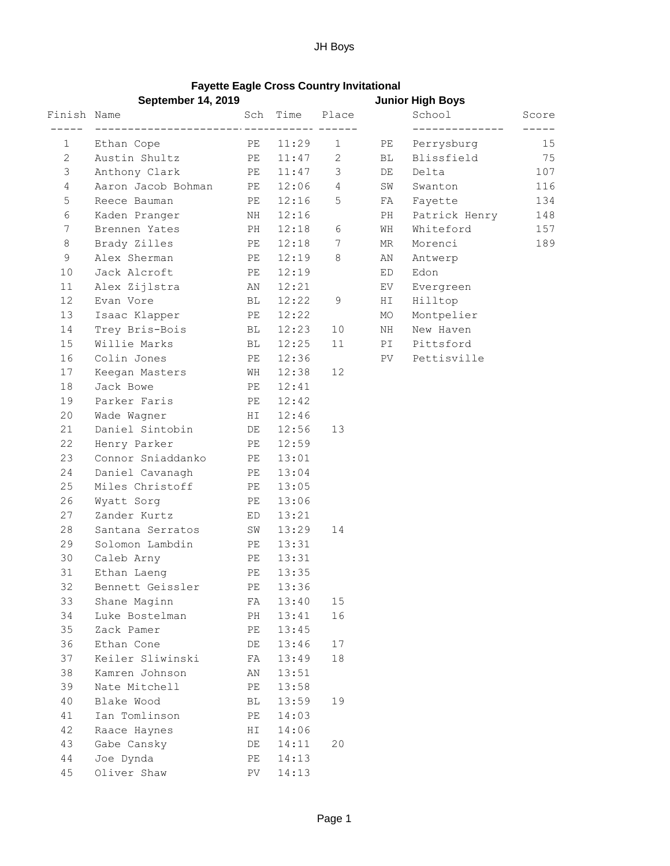## **Fayette Eagle Cross Country Invitational**

|              | <b>September 14, 2019</b>      |          |                  |                       | <b>Junior High Boys</b> |               |       |
|--------------|--------------------------------|----------|------------------|-----------------------|-------------------------|---------------|-------|
| Finish Name  |                                | Sch      | Time             | Place                 |                         | School        | Score |
| $\mathbf 1$  | Ethan Cope                     | PE       | ---- --<br>11:29 | $\mathbf{1}$          | PE                      | Perrysburg    | 15    |
| $\mathbf{2}$ | Austin Shultz                  | PE       | 11:47            | $\mathbf{2}^{\prime}$ | BL                      | Blissfield    | 75    |
| 3            | Anthony Clark                  | PE       | 11:47            | 3                     | DE                      | Delta         | 107   |
| 4            | Aaron Jacob Bohman             | PE       | 12:06            | 4                     | SW                      | Swanton       | 116   |
| 5            | Reece Bauman                   | PE       | 12:16            | 5                     | FA                      | Fayette       | 134   |
| 6            | Kaden Pranger                  | ΝH       | 12:16            |                       | PH                      | Patrick Henry | 148   |
| 7            | Brennen Yates                  | PH       | 12:18            | 6                     | WH                      | Whiteford     | 157   |
| 8            | Brady Zilles                   | PE       | 12:18            | 7                     | MR                      | Morenci       | 189   |
| 9            | Alex Sherman                   | PE       | 12:19            | 8                     | AN                      | Antwerp       |       |
| 10           | Jack Alcroft                   | PE       | 12:19            |                       | ED                      | Edon          |       |
| 11           | Alex Zijlstra                  | AN       | 12:21            |                       | EV                      | Evergreen     |       |
| 12           | Evan Vore                      | ВL       | 12:22            | 9                     | ΗI                      | Hilltop       |       |
| 13           | Isaac Klapper                  | PE       | 12:22            |                       | MO                      | Montpelier    |       |
| 14           | Trey Bris-Bois                 | ВL       | 12:23            | 10                    | NH                      | New Haven     |       |
| 15           | Willie Marks                   | ВL       | 12:25            | 11                    | PI                      | Pittsford     |       |
| 16           | Colin Jones                    | PE       | 12:36            |                       | PV                      | Pettisville   |       |
| 17           | Keegan Masters                 | WH       | 12:38            | 12                    |                         |               |       |
| 18           | Jack Bowe                      | PE       | 12:41            |                       |                         |               |       |
| 19           | Parker Faris                   | PE       | 12:42            |                       |                         |               |       |
| 20           | Wade Wagner                    | HI       | 12:46            |                       |                         |               |       |
| 21           | Daniel Sintobin                | DE       | 12:56            | 13                    |                         |               |       |
| 22           | Henry Parker                   | PE       | 12:59            |                       |                         |               |       |
| 23           | Connor Sniaddanko              | PE       | 13:01            |                       |                         |               |       |
| 24           | Daniel Cavanagh                | PE       | 13:04            |                       |                         |               |       |
| 25           | Miles Christoff                | PE       | 13:05            |                       |                         |               |       |
| 26           | Wyatt Sorg                     | PE       | 13:06            |                       |                         |               |       |
| 27           | Zander Kurtz                   | ED       | 13:21            |                       |                         |               |       |
| 28           | Santana Serratos               | SW       | 13:29            | 14                    |                         |               |       |
| 29           | Solomon Lambdin                | PE       | 13:31            |                       |                         |               |       |
| 30           | Caleb Arny                     | PE       | 13:31            |                       |                         |               |       |
| 31           | Ethan Laeng                    | PE       | 13:35            |                       |                         |               |       |
| 32           | Bennett Geissler               | PE       | 13:36            |                       |                         |               |       |
| 33           | Shane Maginn                   | FA       | 13:40            | 15                    |                         |               |       |
| 34<br>35     | Luke Bostelman<br>Zack Pamer   | PH       | 13:41<br>13:45   | 16                    |                         |               |       |
| 36           |                                | PE       |                  |                       |                         |               |       |
| 37           | Ethan Cone<br>Keiler Sliwinski | DE<br>FA | 13:46<br>13:49   | 17<br>18              |                         |               |       |
| 38           | Kamren Johnson                 | ΑN       | 13:51            |                       |                         |               |       |
| 39           | Nate Mitchell                  | PE       | 13:58            |                       |                         |               |       |
| 40           | Blake Wood                     | ВL       | 13:59            | 19                    |                         |               |       |
| 41           | Ian Tomlinson                  | PE       | 14:03            |                       |                         |               |       |
| 42           | Raace Haynes                   | ΗI       | 14:06            |                       |                         |               |       |
| 43           | Gabe Cansky                    | DE       | 14:11            | 20                    |                         |               |       |
| $4\,4$       | Joe Dynda                      | РE       | 14:13            |                       |                         |               |       |
| 45           | Oliver Shaw                    | PV       | 14:13            |                       |                         |               |       |
|              |                                |          |                  |                       |                         |               |       |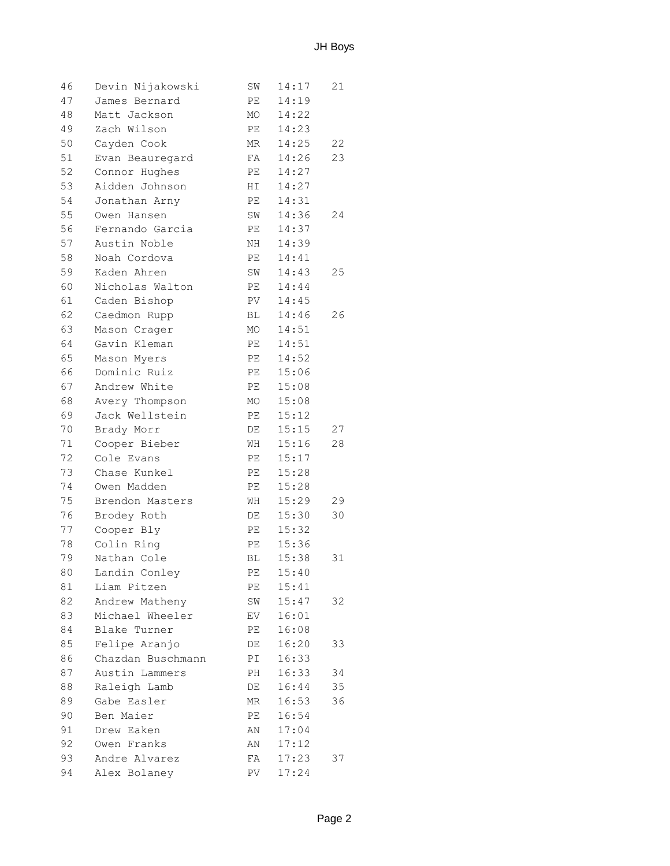| 46 | Devin Nijakowski  | SW | 14:17 | 21 |
|----|-------------------|----|-------|----|
| 47 | James Bernard     | PE | 14:19 |    |
| 48 | Matt Jackson      | МO | 14:22 |    |
| 49 | Zach Wilson       | PE | 14:23 |    |
| 50 | Cayden Cook       | MR | 14:25 | 22 |
| 51 | Evan Beauregard   | FA | 14:26 | 23 |
| 52 | Connor Hughes     | PE | 14:27 |    |
| 53 | Aidden Johnson    | HI | 14:27 |    |
| 54 | Jonathan Arny     | РE | 14:31 |    |
| 55 | Owen Hansen       | SW | 14:36 | 24 |
| 56 | Fernando Garcia   | PE | 14:37 |    |
| 57 | Austin Noble      | NH | 14:39 |    |
| 58 | Noah Cordova      | PE | 14:41 |    |
| 59 | Kaden Ahren       | SW | 14:43 | 25 |
| 60 | Nicholas Walton   | PE | 14:44 |    |
| 61 | Caden Bishop      | PV | 14:45 |    |
| 62 | Caedmon Rupp      | BL | 14:46 | 26 |
| 63 | Mason Crager      | MO | 14:51 |    |
| 64 | Gavin Kleman      | PE | 14:51 |    |
| 65 | Mason Myers       | PE | 14:52 |    |
| 66 | Dominic Ruiz      | PE | 15:06 |    |
| 67 | Andrew White      | PE | 15:08 |    |
| 68 | Avery Thompson    | MO | 15:08 |    |
| 69 | Jack Wellstein    | РE | 15:12 |    |
| 70 | Brady Morr        | DE | 15:15 | 27 |
| 71 | Cooper Bieber     | WH | 15:16 | 28 |
| 72 | Cole Evans        | PE | 15:17 |    |
| 73 | Chase Kunkel      | РE | 15:28 |    |
| 74 | Owen Madden       | PE | 15:28 |    |
| 75 | Brendon Masters   | WH | 15:29 | 29 |
| 76 | Brodey Roth       | DE | 15:30 | 30 |
| 77 | Cooper Bly        | PE | 15:32 |    |
| 78 | Colin Ring        | PE | 15:36 |    |
| 79 | Nathan Cole       | ВL | 15:38 | 31 |
| 80 | Landin Conley     | PE | 15:40 |    |
| 81 | Liam Pitzen       | PE | 15:41 |    |
| 82 | Andrew Matheny    | SW | 15:47 | 32 |
| 83 | Michael Wheeler   | EV | 16:01 |    |
| 84 | Blake Turner      | PE | 16:08 |    |
| 85 | Felipe Aranjo     | DE | 16:20 | 33 |
| 86 | Chazdan Buschmann | PI | 16:33 |    |
| 87 | Austin Lammers    | PH | 16:33 | 34 |
| 88 | Raleigh Lamb      | DE | 16:44 | 35 |
| 89 | Gabe Easler       | MR | 16:53 | 36 |
| 90 | Ben Maier         | PE | 16:54 |    |
| 91 | Drew Eaken        | AN | 17:04 |    |
| 92 | Owen Franks       | AN | 17:12 |    |
| 93 | Andre Alvarez     | FA | 17:23 | 37 |
| 94 | Alex Bolaney      | PV | 17:24 |    |
|    |                   |    |       |    |